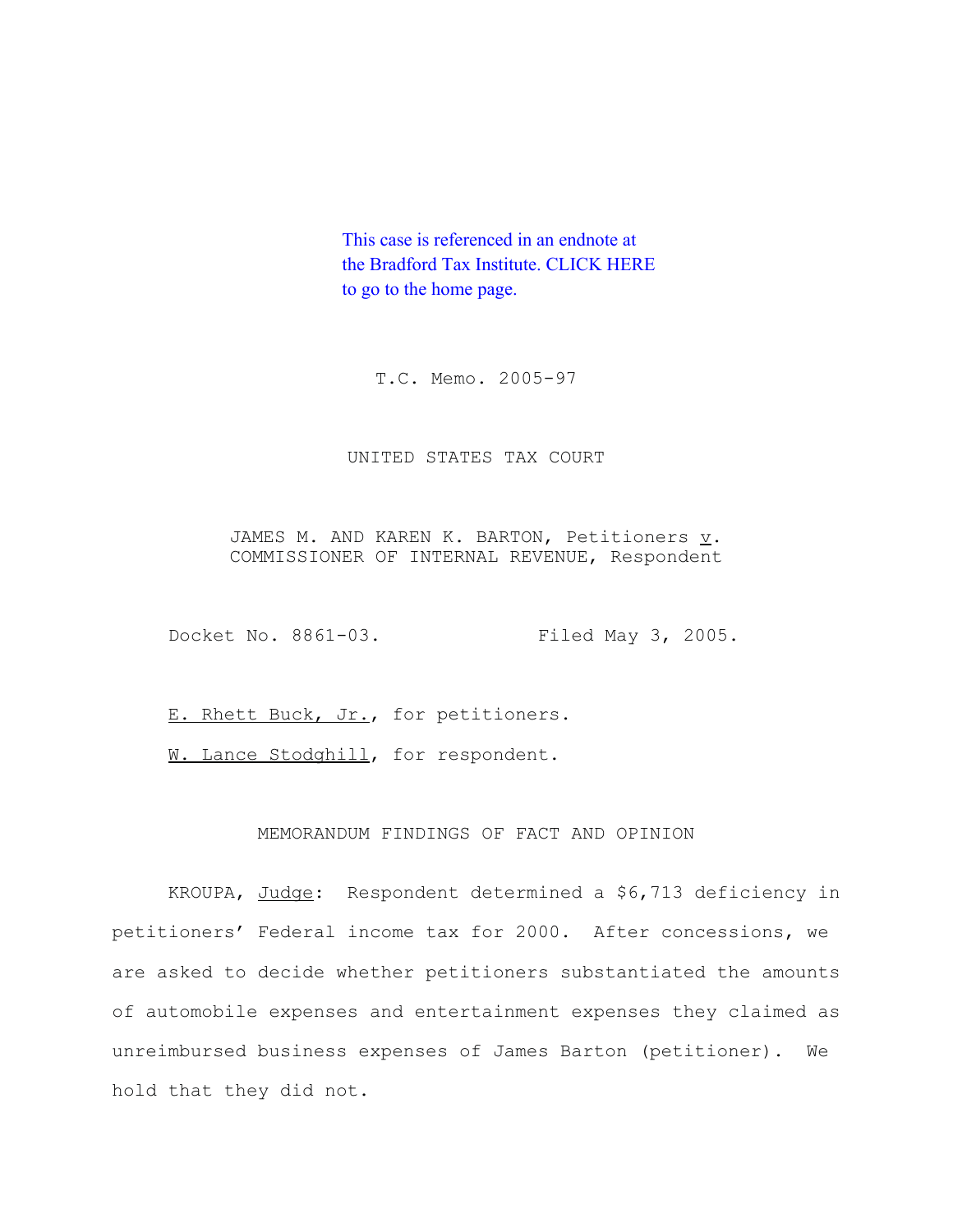This case is referenced in an endnote at [the Bradford Tax Institute. CLICK HERE](http://www.bradfordtaxinstitute.com)  to go to the home page.

T.C. Memo. 2005-97

## UNITED STATES TAX COURT

JAMES M. AND KAREN K. BARTON, Petitioners  $\underline{v}$ . COMMISSIONER OF INTERNAL REVENUE, Respondent

Docket No. 8861-03. Filed May 3, 2005.

E. Rhett Buck, Jr., for petitioners.

W. Lance Stodghill, for respondent.

## MEMORANDUM FINDINGS OF FACT AND OPINION

KROUPA, Judge: Respondent determined a \$6,713 deficiency in petitioners' Federal income tax for 2000. After concessions, we are asked to decide whether petitioners substantiated the amounts of automobile expenses and entertainment expenses they claimed as unreimbursed business expenses of James Barton (petitioner). We hold that they did not.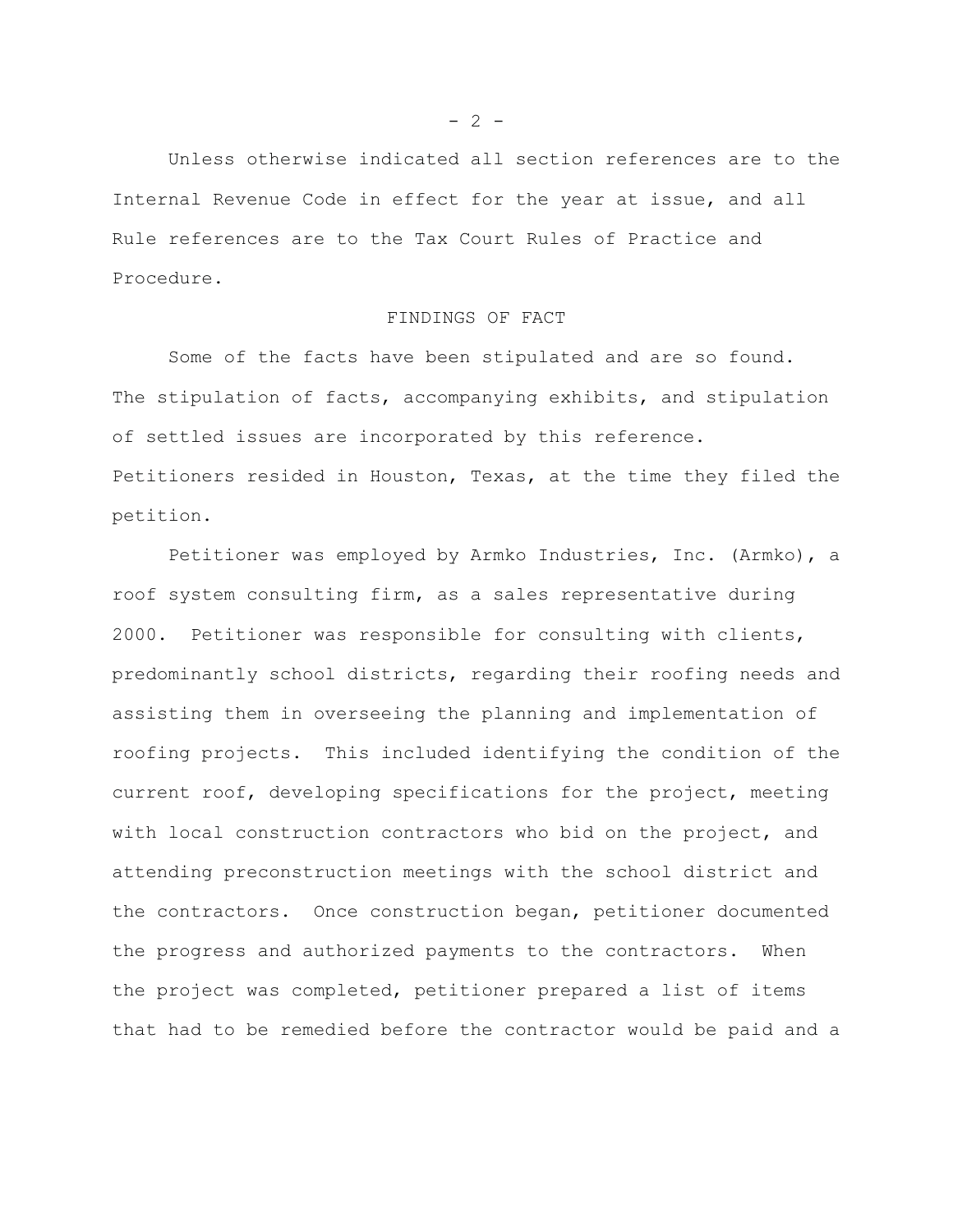Unless otherwise indicated all section references are to the Internal Revenue Code in effect for the year at issue, and all Rule references are to the Tax Court Rules of Practice and Procedure.

## FINDINGS OF FACT

Some of the facts have been stipulated and are so found. The stipulation of facts, accompanying exhibits, and stipulation of settled issues are incorporated by this reference. Petitioners resided in Houston, Texas, at the time they filed the petition.

Petitioner was employed by Armko Industries, Inc. (Armko), a roof system consulting firm, as a sales representative during 2000. Petitioner was responsible for consulting with clients, predominantly school districts, regarding their roofing needs and assisting them in overseeing the planning and implementation of roofing projects. This included identifying the condition of the current roof, developing specifications for the project, meeting with local construction contractors who bid on the project, and attending preconstruction meetings with the school district and the contractors. Once construction began, petitioner documented the progress and authorized payments to the contractors. When the project was completed, petitioner prepared a list of items that had to be remedied before the contractor would be paid and a

 $- 2 -$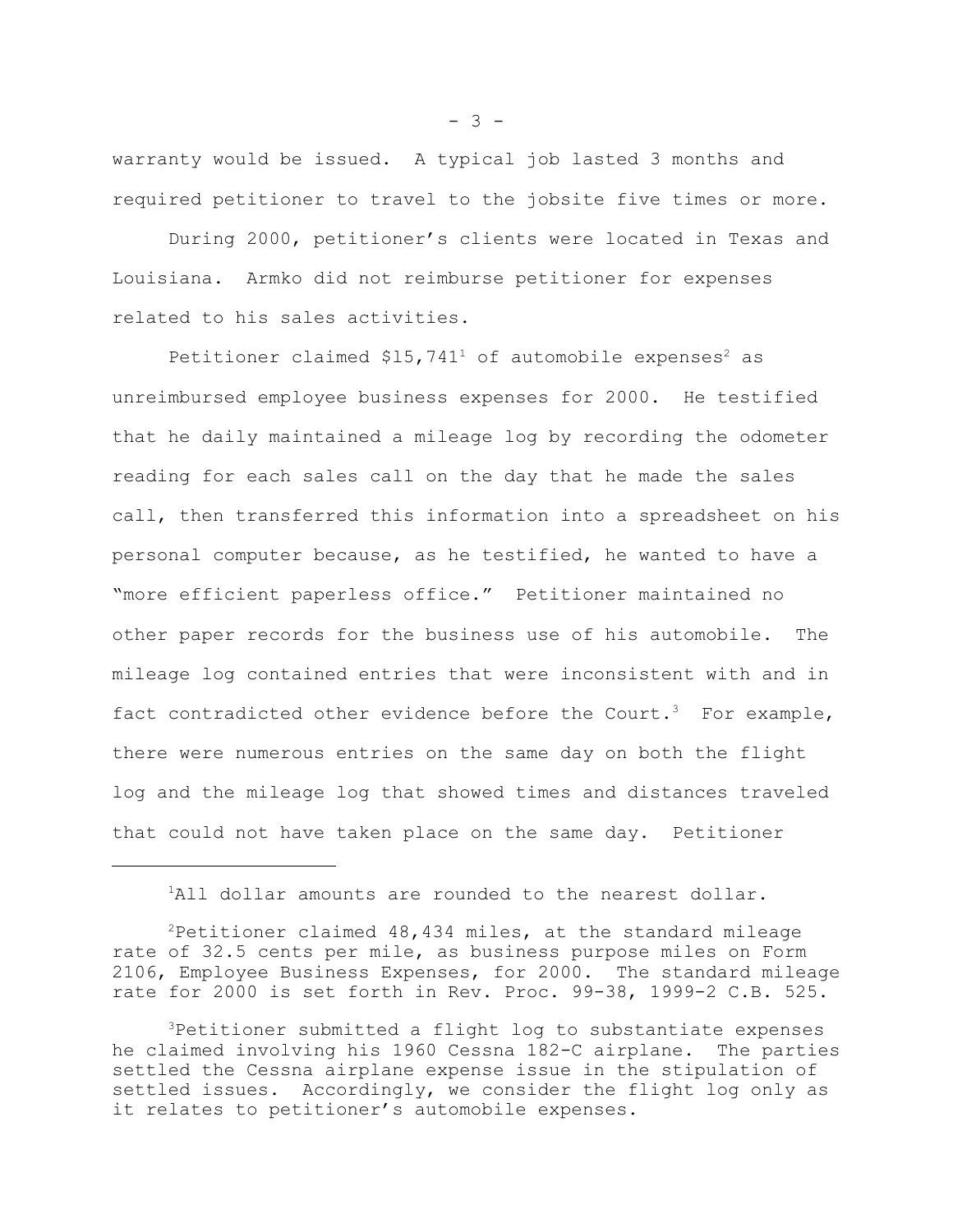warranty would be issued. A typical job lasted 3 months and required petitioner to travel to the jobsite five times or more.

During 2000, petitioner's clients were located in Texas and Louisiana. Armko did not reimburse petitioner for expenses related to his sales activities.

Petitioner claimed  $$15,741^1$  of automobile expenses<sup>2</sup> as unreimbursed employee business expenses for 2000. He testified that he daily maintained a mileage log by recording the odometer reading for each sales call on the day that he made the sales call, then transferred this information into a spreadsheet on his personal computer because, as he testified, he wanted to have a "more efficient paperless office." Petitioner maintained no other paper records for the business use of his automobile. The mileage log contained entries that were inconsistent with and in fact contradicted other evidence before the Court.<sup>3</sup> For example, there were numerous entries on the same day on both the flight log and the mileage log that showed times and distances traveled that could not have taken place on the same day. Petitioner

 $2$ Petitioner claimed 48,434 miles, at the standard mileage rate of 32.5 cents per mile, as business purpose miles on Form 2106, Employee Business Expenses, for 2000. The standard mileage rate for 2000 is set forth in Rev. Proc. 99-38, 1999-2 C.B. 525.

3Petitioner submitted a flight log to substantiate expenses he claimed involving his 1960 Cessna 182-C airplane. The parties settled the Cessna airplane expense issue in the stipulation of settled issues. Accordingly, we consider the flight log only as it relates to petitioner's automobile expenses.

 $- 3 -$ 

<sup>&</sup>lt;sup>1</sup>All dollar amounts are rounded to the nearest dollar.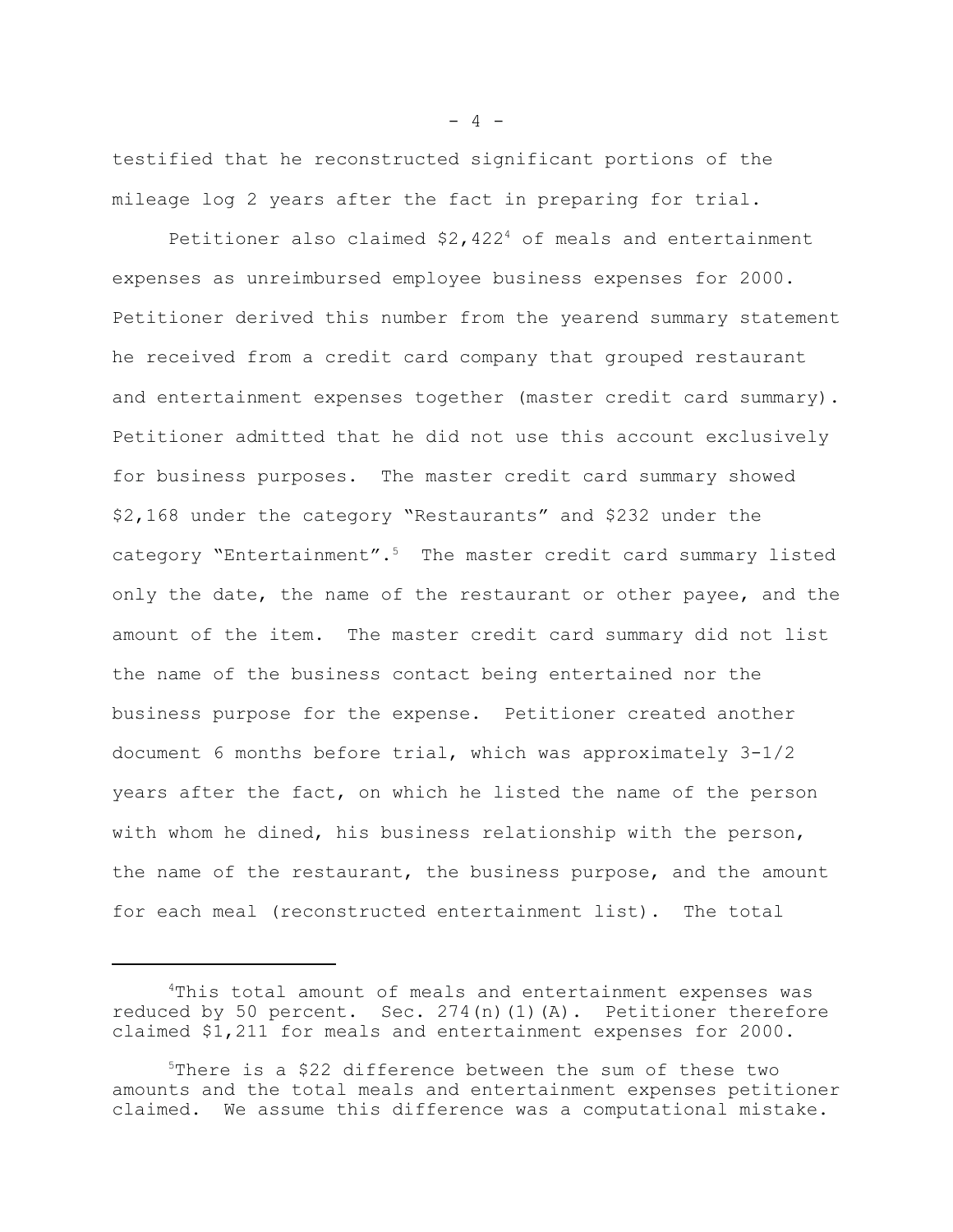testified that he reconstructed significant portions of the mileage log 2 years after the fact in preparing for trial.

Petitioner also claimed \$2,422<sup>4</sup> of meals and entertainment expenses as unreimbursed employee business expenses for 2000. Petitioner derived this number from the yearend summary statement he received from a credit card company that grouped restaurant and entertainment expenses together (master credit card summary). Petitioner admitted that he did not use this account exclusively for business purposes. The master credit card summary showed \$2,168 under the category "Restaurants" and \$232 under the category "Entertainment".<sup>5</sup> The master credit card summary listed only the date, the name of the restaurant or other payee, and the amount of the item. The master credit card summary did not list the name of the business contact being entertained nor the business purpose for the expense. Petitioner created another document 6 months before trial, which was approximately 3-1/2 years after the fact, on which he listed the name of the person with whom he dined, his business relationship with the person, the name of the restaurant, the business purpose, and the amount for each meal (reconstructed entertainment list). The total

 $- 4 -$ 

<sup>4</sup>This total amount of meals and entertainment expenses was reduced by 50 percent. Sec. 274(n)(1)(A). Petitioner therefore claimed \$1,211 for meals and entertainment expenses for 2000.

<sup>5</sup>There is a \$22 difference between the sum of these two amounts and the total meals and entertainment expenses petitioner claimed. We assume this difference was a computational mistake.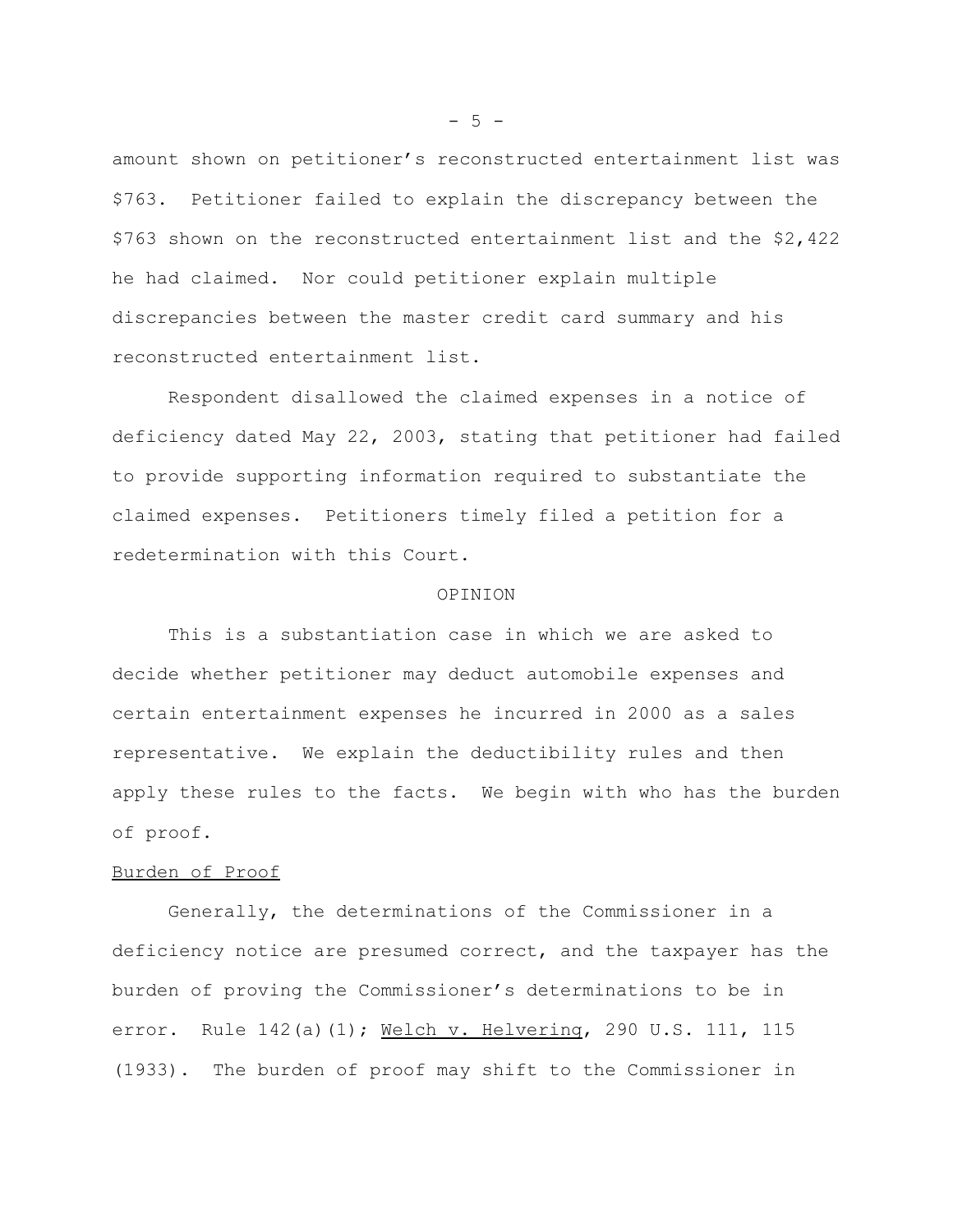amount shown on petitioner's reconstructed entertainment list was \$763. Petitioner failed to explain the discrepancy between the \$763 shown on the reconstructed entertainment list and the \$2,422 he had claimed. Nor could petitioner explain multiple discrepancies between the master credit card summary and his reconstructed entertainment list.

Respondent disallowed the claimed expenses in a notice of deficiency dated May 22, 2003, stating that petitioner had failed to provide supporting information required to substantiate the claimed expenses. Petitioners timely filed a petition for a redetermination with this Court.

#### OPINION

This is a substantiation case in which we are asked to decide whether petitioner may deduct automobile expenses and certain entertainment expenses he incurred in 2000 as a sales representative. We explain the deductibility rules and then apply these rules to the facts. We begin with who has the burden of proof.

## Burden of Proof

Generally, the determinations of the Commissioner in a deficiency notice are presumed correct, and the taxpayer has the burden of proving the Commissioner's determinations to be in error. Rule 142(a)(1); Welch v. Helvering, 290 U.S. 111, 115 (1933). The burden of proof may shift to the Commissioner in

 $-5 -$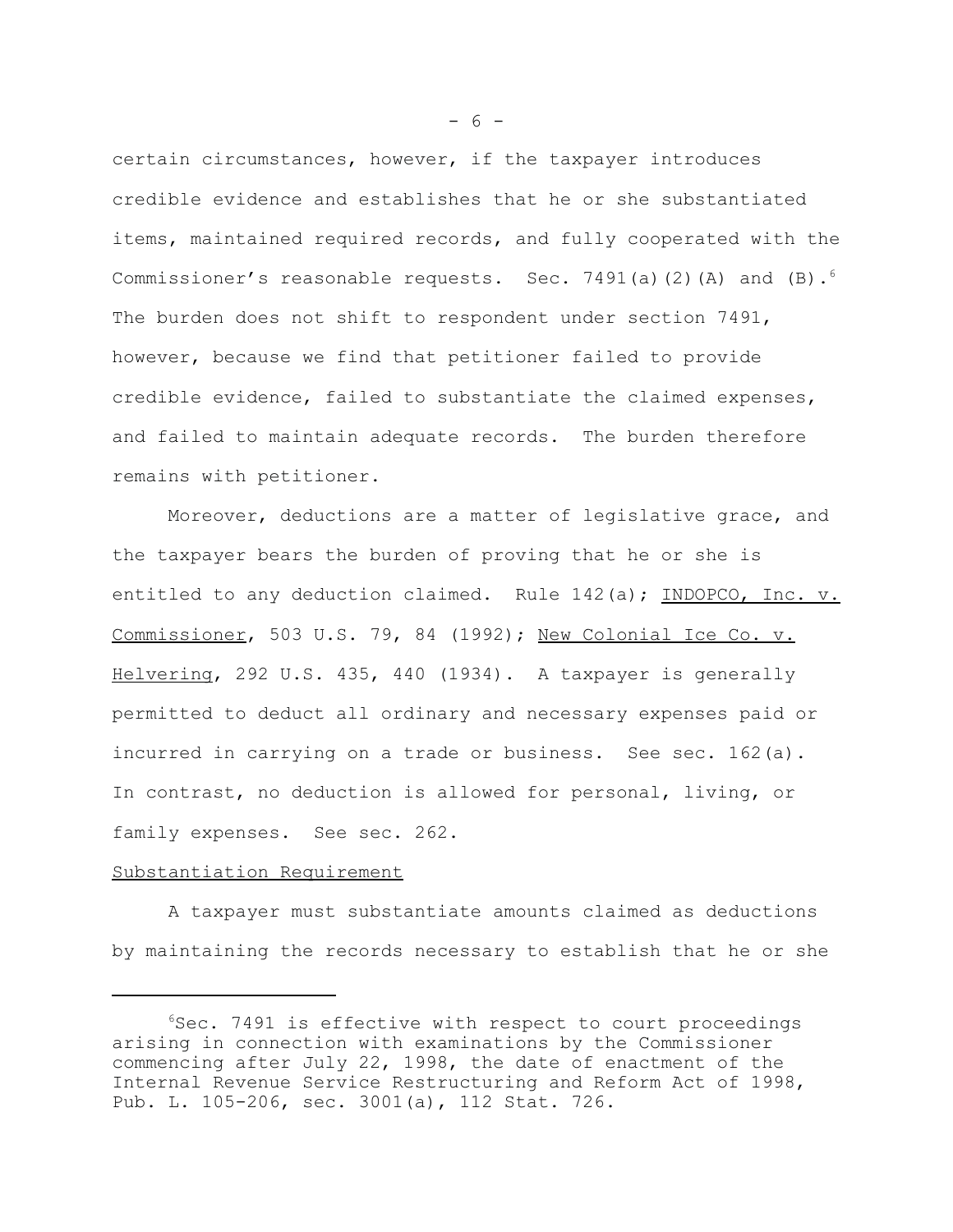certain circumstances, however, if the taxpayer introduces credible evidence and establishes that he or she substantiated items, maintained required records, and fully cooperated with the Commissioner's reasonable requests. Sec. 7491(a)(2)(A) and  $(B)$ .<sup>6</sup> The burden does not shift to respondent under section 7491, however, because we find that petitioner failed to provide credible evidence, failed to substantiate the claimed expenses, and failed to maintain adequate records. The burden therefore remains with petitioner.

Moreover, deductions are a matter of legislative grace, and the taxpayer bears the burden of proving that he or she is entitled to any deduction claimed. Rule 142(a); INDOPCO, Inc. v. Commissioner, 503 U.S. 79, 84 (1992); New Colonial Ice Co. v. Helvering, 292 U.S. 435, 440 (1934). A taxpayer is generally permitted to deduct all ordinary and necessary expenses paid or incurred in carrying on a trade or business. See sec. 162(a). In contrast, no deduction is allowed for personal, living, or family expenses. See sec. 262.

# Substantiation Requirement

A taxpayer must substantiate amounts claimed as deductions by maintaining the records necessary to establish that he or she

- 6 -

<sup>6</sup>Sec. 7491 is effective with respect to court proceedings arising in connection with examinations by the Commissioner commencing after July 22, 1998, the date of enactment of the Internal Revenue Service Restructuring and Reform Act of 1998, Pub. L. 105-206, sec. 3001(a), 112 Stat. 726.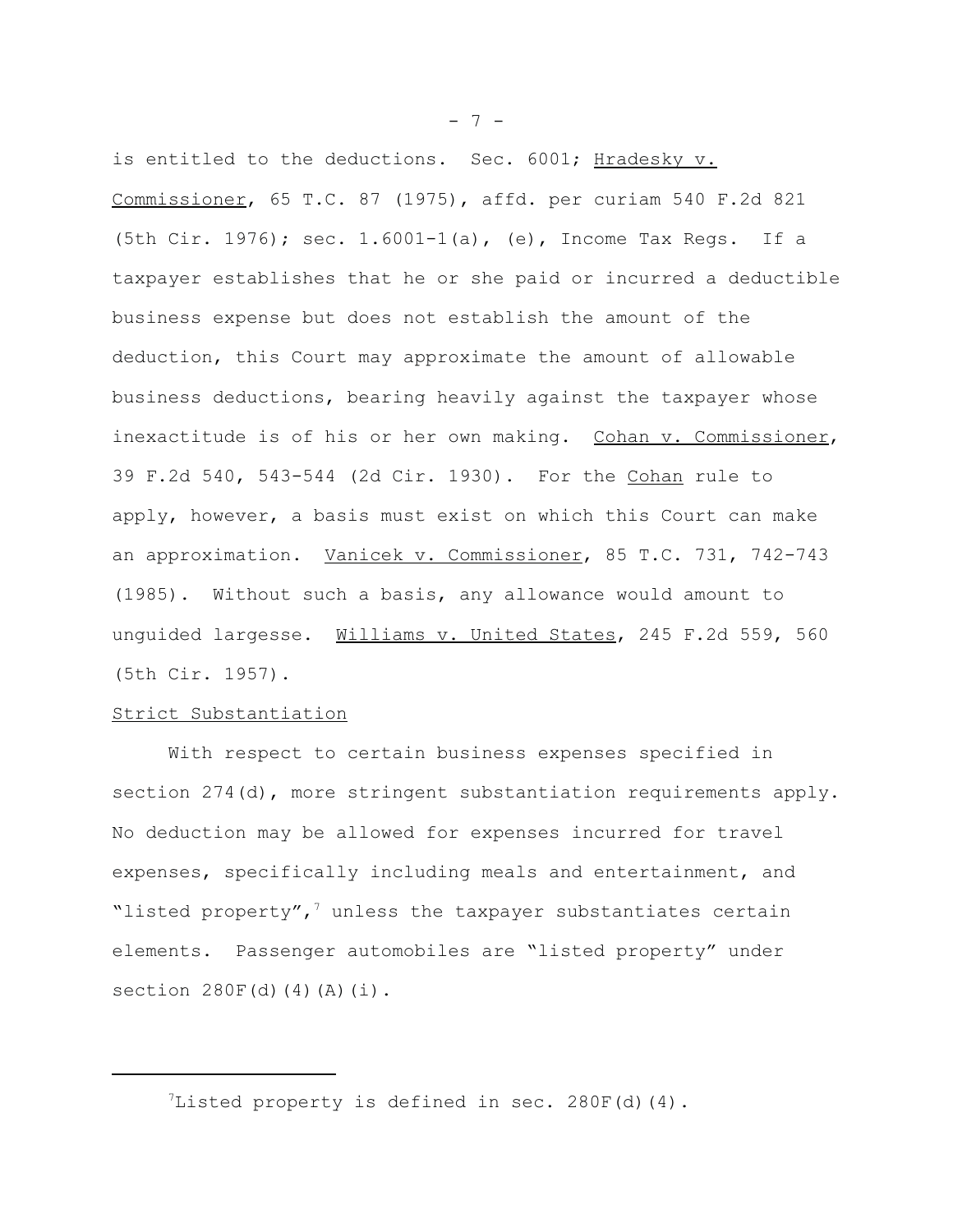is entitled to the deductions. Sec. 6001; Hradesky v. Commissioner, 65 T.C. 87 (1975), affd. per curiam 540 F.2d 821 (5th Cir. 1976); sec. 1.6001-1(a), (e), Income Tax Regs. If a taxpayer establishes that he or she paid or incurred a deductible business expense but does not establish the amount of the deduction, this Court may approximate the amount of allowable business deductions, bearing heavily against the taxpayer whose inexactitude is of his or her own making. Cohan v. Commissioner, 39 F.2d 540, 543-544 (2d Cir. 1930). For the Cohan rule to apply, however, a basis must exist on which this Court can make an approximation. Vanicek v. Commissioner, 85 T.C. 731, 742-743 (1985). Without such a basis, any allowance would amount to unguided largesse. Williams v. United States, 245 F.2d 559, 560 (5th Cir. 1957).

# Strict Substantiation

With respect to certain business expenses specified in section 274(d), more stringent substantiation requirements apply. No deduction may be allowed for expenses incurred for travel expenses, specifically including meals and entertainment, and "listed property",<sup>7</sup> unless the taxpayer substantiates certain elements. Passenger automobiles are "listed property" under section  $280F(d)(4)(A)(i)$ .

<sup>7</sup>Listed property is defined in sec. 280F(d)(4).

- 7 -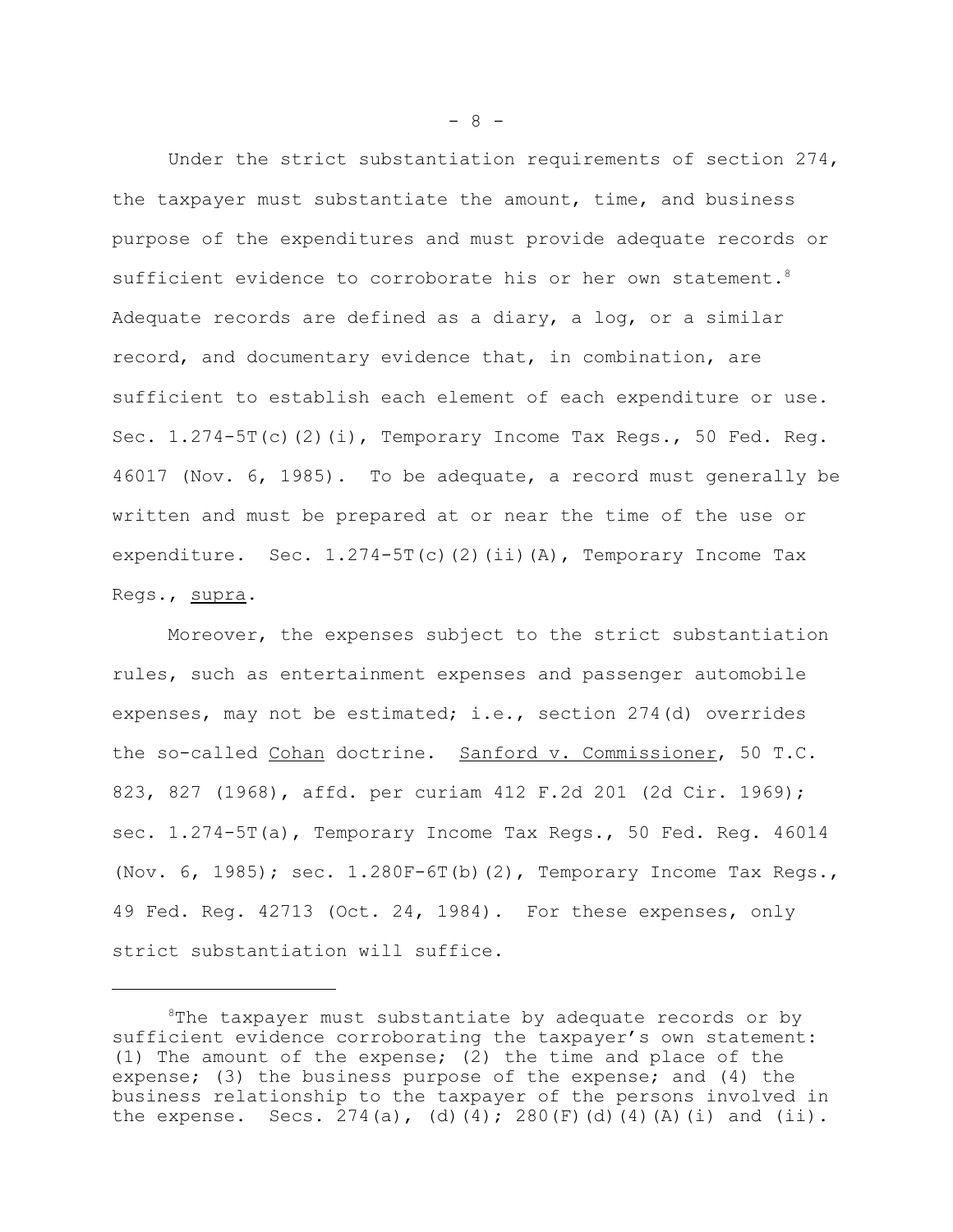Under the strict substantiation requirements of section 274, the taxpayer must substantiate the amount, time, and business purpose of the expenditures and must provide adequate records or sufficient evidence to corroborate his or her own statement.<sup>8</sup> Adequate records are defined as a diary, a log, or a similar record, and documentary evidence that, in combination, are sufficient to establish each element of each expenditure or use. Sec.  $1.274-5T(c)(2)(i)$ , Temporary Income Tax Regs., 50 Fed. Reg. 46017 (Nov. 6, 1985). To be adequate, a record must generally be written and must be prepared at or near the time of the use or expenditure. Sec. 1.274-5T(c)(2)(ii)(A), Temporary Income Tax Regs., supra.

Moreover, the expenses subject to the strict substantiation rules, such as entertainment expenses and passenger automobile expenses, may not be estimated; i.e., section 274(d) overrides the so-called Cohan doctrine. Sanford v. Commissioner, 50 T.C. 823, 827 (1968), affd. per curiam 412 F.2d 201 (2d Cir. 1969); sec. 1.274-5T(a), Temporary Income Tax Regs., 50 Fed. Reg. 46014 (Nov. 6, 1985); sec. 1.280F-6T(b)(2), Temporary Income Tax Regs., 49 Fed. Reg. 42713 (Oct. 24, 1984). For these expenses, only strict substantiation will suffice.

 $- 8 -$ 

<sup>&</sup>lt;sup>8</sup>The taxpayer must substantiate by adequate records or by sufficient evidence corroborating the taxpayer's own statement: (1) The amount of the expense; (2) the time and place of the expense; (3) the business purpose of the expense; and (4) the business relationship to the taxpayer of the persons involved in the expense. Secs. 274(a), (d)(4); 280(F)(d)(4)(A)(i) and (ii).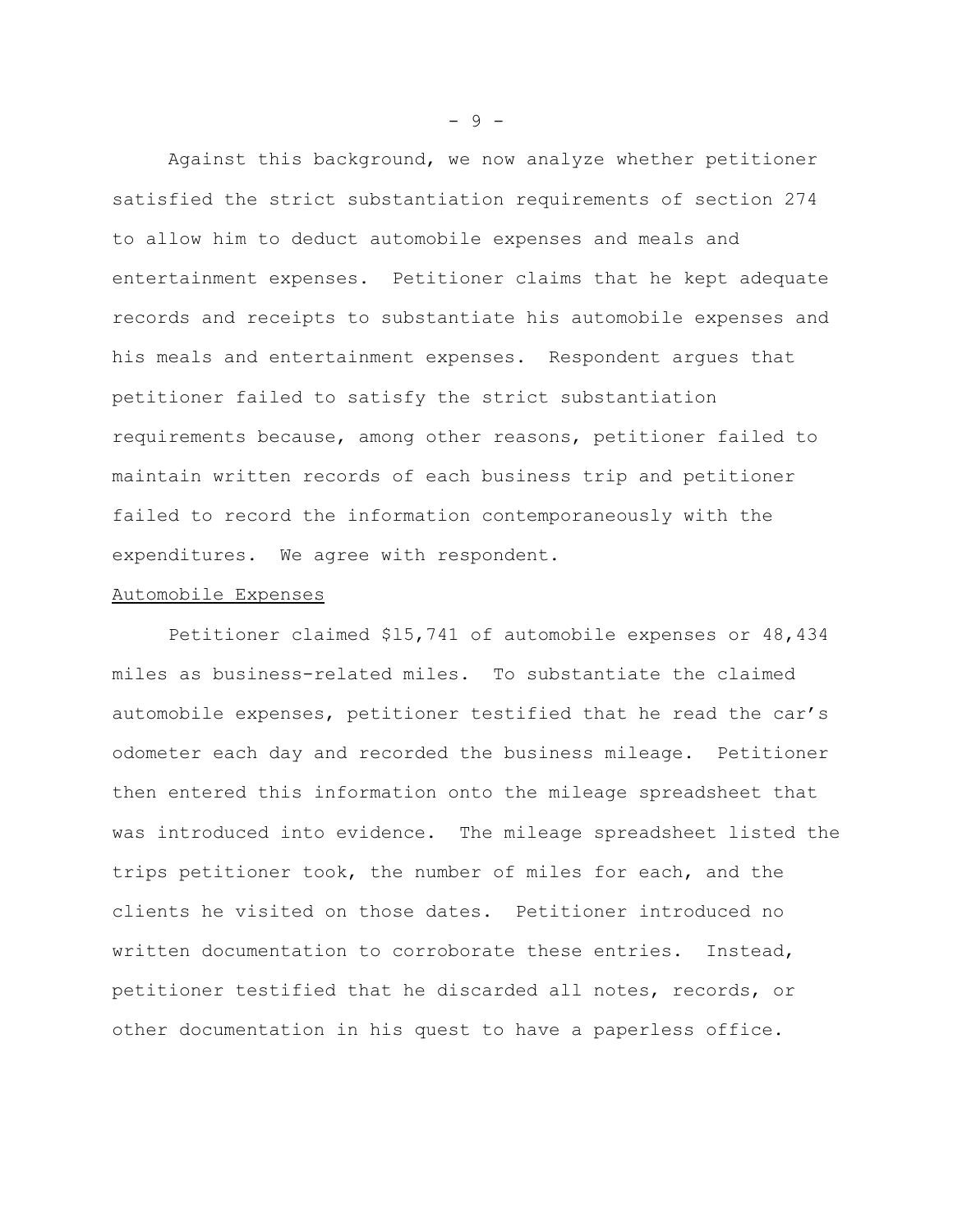Against this background, we now analyze whether petitioner satisfied the strict substantiation requirements of section 274 to allow him to deduct automobile expenses and meals and entertainment expenses. Petitioner claims that he kept adequate records and receipts to substantiate his automobile expenses and his meals and entertainment expenses. Respondent argues that petitioner failed to satisfy the strict substantiation requirements because, among other reasons, petitioner failed to maintain written records of each business trip and petitioner failed to record the information contemporaneously with the expenditures. We agree with respondent.

#### Automobile Expenses

Petitioner claimed \$l5,741 of automobile expenses or 48,434 miles as business-related miles. To substantiate the claimed automobile expenses, petitioner testified that he read the car's odometer each day and recorded the business mileage. Petitioner then entered this information onto the mileage spreadsheet that was introduced into evidence. The mileage spreadsheet listed the trips petitioner took, the number of miles for each, and the clients he visited on those dates. Petitioner introduced no written documentation to corroborate these entries. Instead, petitioner testified that he discarded all notes, records, or other documentation in his quest to have a paperless office.

- 9 -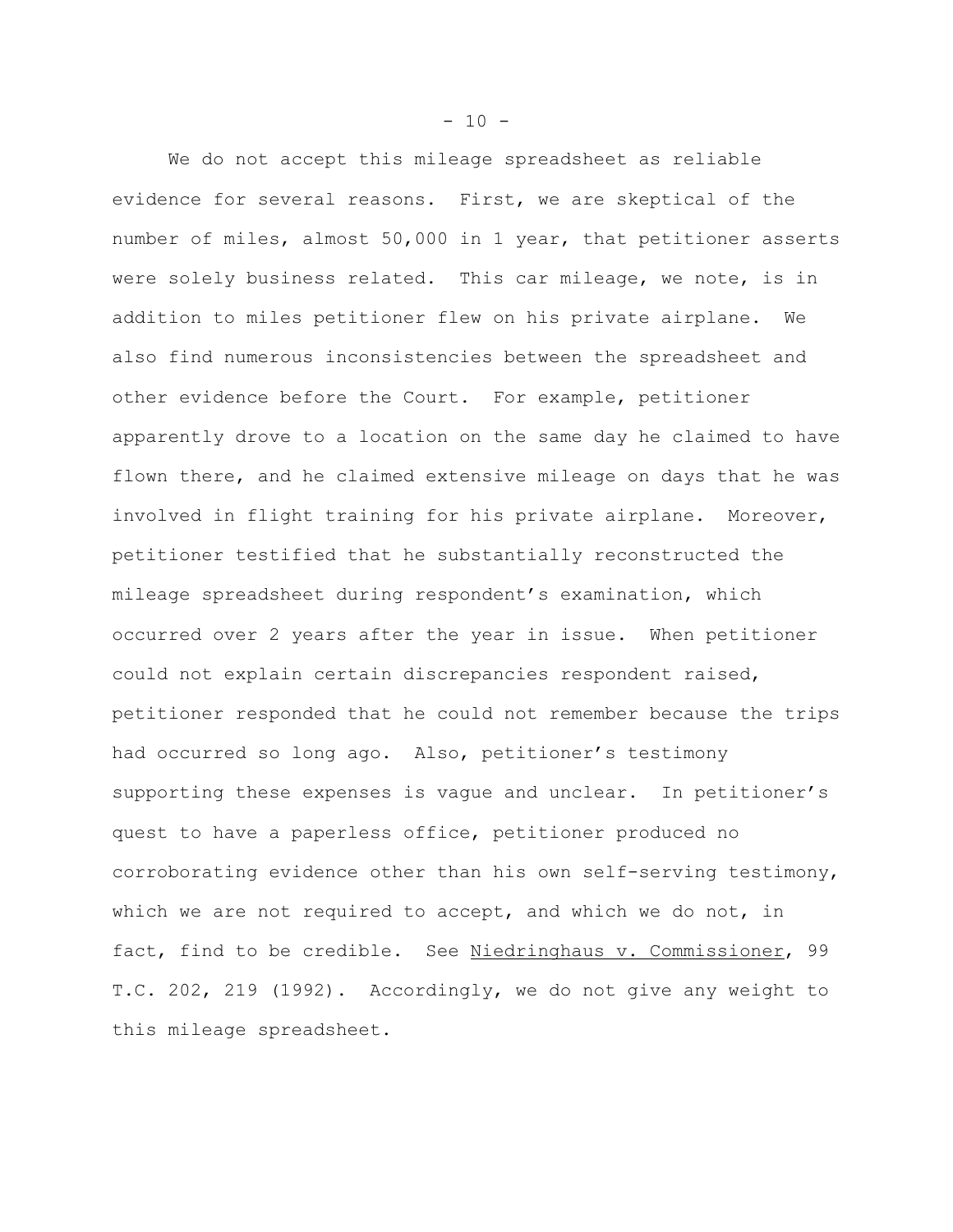We do not accept this mileage spreadsheet as reliable evidence for several reasons. First, we are skeptical of the number of miles, almost 50,000 in 1 year, that petitioner asserts were solely business related. This car mileage, we note, is in addition to miles petitioner flew on his private airplane. We also find numerous inconsistencies between the spreadsheet and other evidence before the Court. For example, petitioner apparently drove to a location on the same day he claimed to have flown there, and he claimed extensive mileage on days that he was involved in flight training for his private airplane. Moreover, petitioner testified that he substantially reconstructed the mileage spreadsheet during respondent's examination, which occurred over 2 years after the year in issue. When petitioner could not explain certain discrepancies respondent raised, petitioner responded that he could not remember because the trips had occurred so long ago. Also, petitioner's testimony supporting these expenses is vague and unclear. In petitioner's quest to have a paperless office, petitioner produced no corroborating evidence other than his own self-serving testimony, which we are not required to accept, and which we do not, in fact, find to be credible. See Niedringhaus v. Commissioner, 99 T.C. 202, 219 (1992). Accordingly, we do not give any weight to this mileage spreadsheet.

 $- 10 -$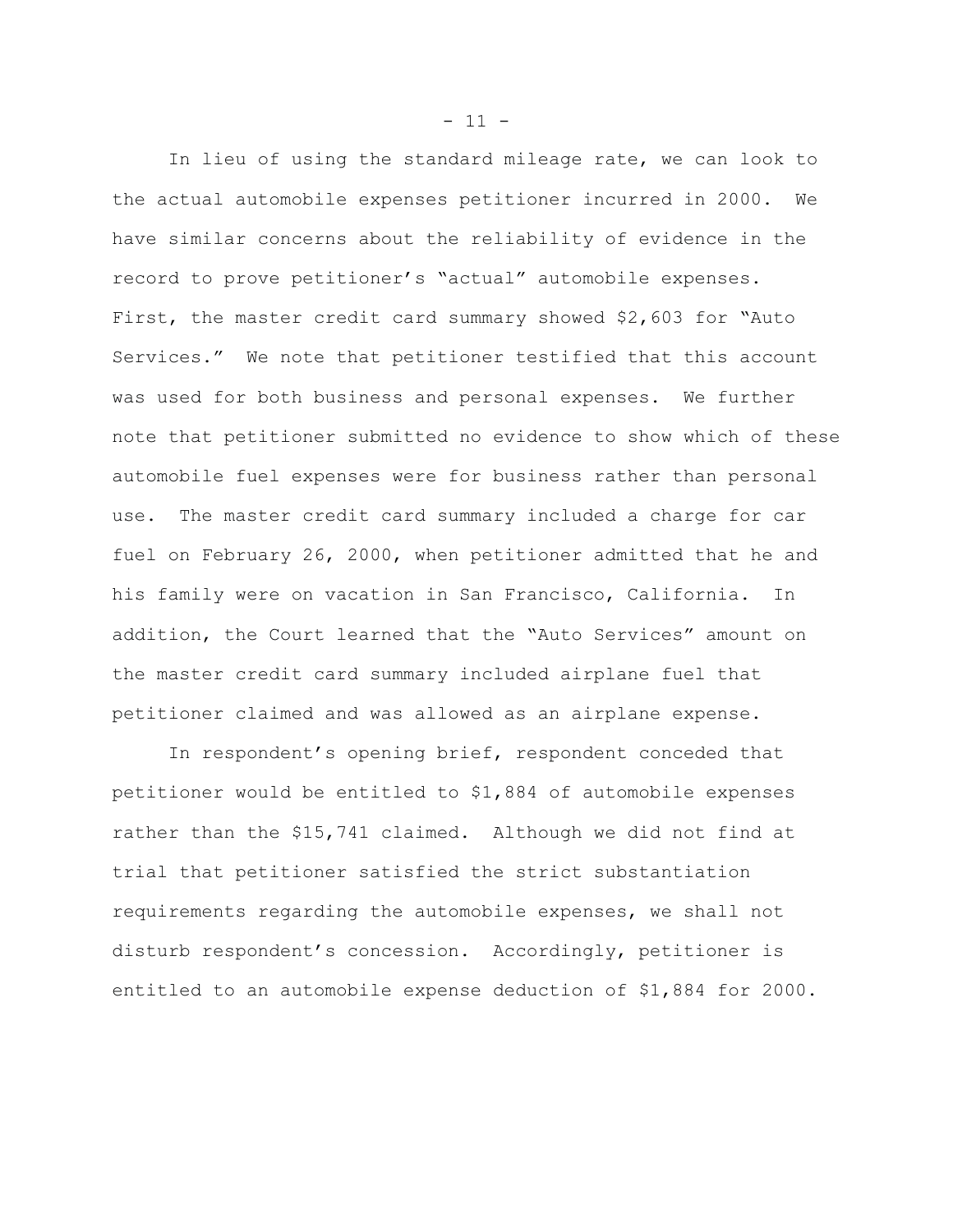In lieu of using the standard mileage rate, we can look to the actual automobile expenses petitioner incurred in 2000. We have similar concerns about the reliability of evidence in the record to prove petitioner's "actual" automobile expenses. First, the master credit card summary showed \$2,603 for "Auto Services." We note that petitioner testified that this account was used for both business and personal expenses. We further note that petitioner submitted no evidence to show which of these automobile fuel expenses were for business rather than personal use. The master credit card summary included a charge for car fuel on February 26, 2000, when petitioner admitted that he and his family were on vacation in San Francisco, California. In addition, the Court learned that the "Auto Services" amount on the master credit card summary included airplane fuel that petitioner claimed and was allowed as an airplane expense.

In respondent's opening brief, respondent conceded that petitioner would be entitled to \$1,884 of automobile expenses rather than the \$15,741 claimed. Although we did not find at trial that petitioner satisfied the strict substantiation requirements regarding the automobile expenses, we shall not disturb respondent's concession. Accordingly, petitioner is entitled to an automobile expense deduction of \$1,884 for 2000.

 $- 11 -$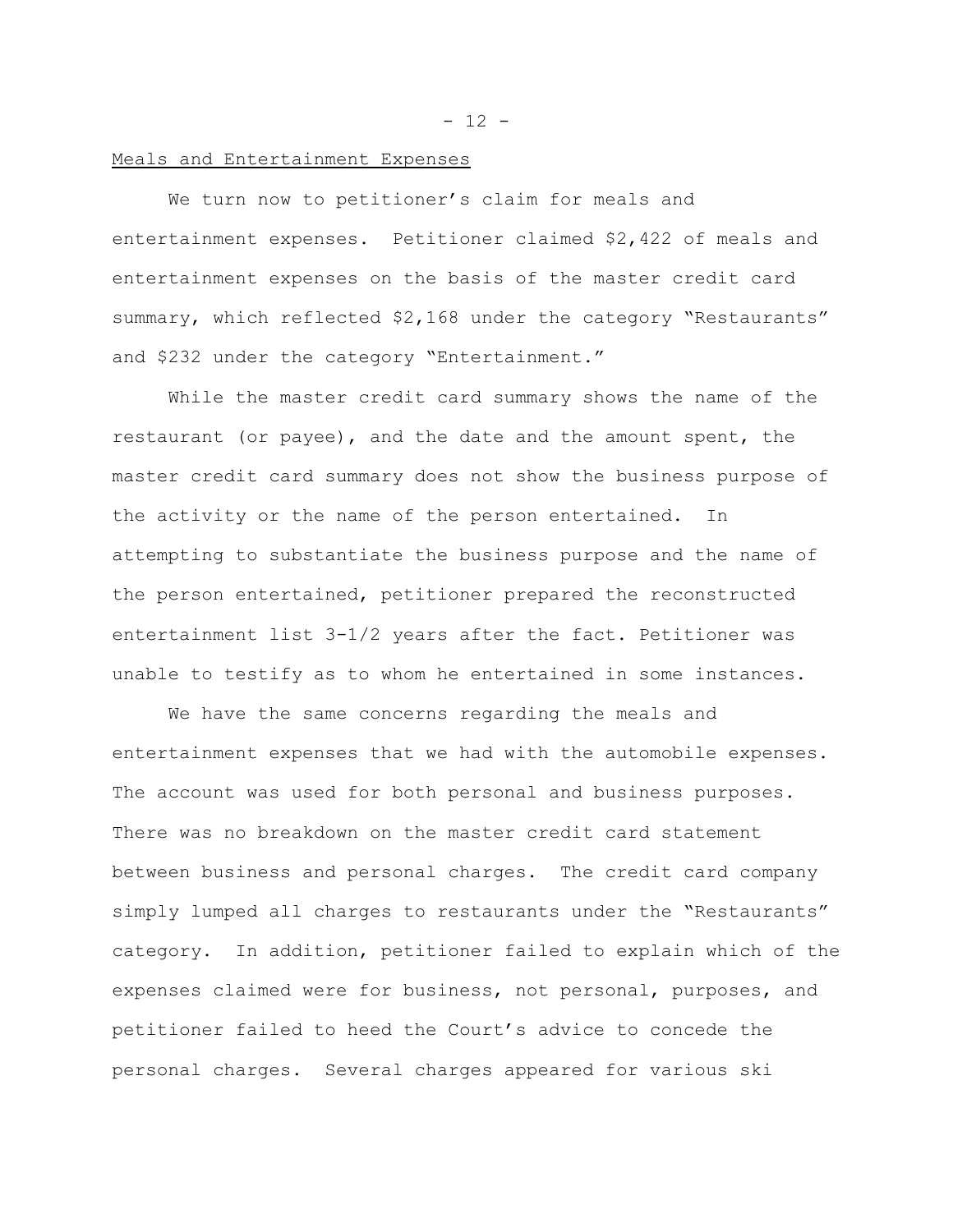#### Meals and Entertainment Expenses

We turn now to petitioner's claim for meals and entertainment expenses. Petitioner claimed \$2,422 of meals and entertainment expenses on the basis of the master credit card summary, which reflected \$2,168 under the category "Restaurants" and \$232 under the category "Entertainment."

While the master credit card summary shows the name of the restaurant (or payee), and the date and the amount spent, the master credit card summary does not show the business purpose of the activity or the name of the person entertained. In attempting to substantiate the business purpose and the name of the person entertained, petitioner prepared the reconstructed entertainment list 3-1/2 years after the fact. Petitioner was unable to testify as to whom he entertained in some instances.

We have the same concerns regarding the meals and entertainment expenses that we had with the automobile expenses. The account was used for both personal and business purposes. There was no breakdown on the master credit card statement between business and personal charges. The credit card company simply lumped all charges to restaurants under the "Restaurants" category. In addition, petitioner failed to explain which of the expenses claimed were for business, not personal, purposes, and petitioner failed to heed the Court's advice to concede the personal charges. Several charges appeared for various ski

 $- 12 -$